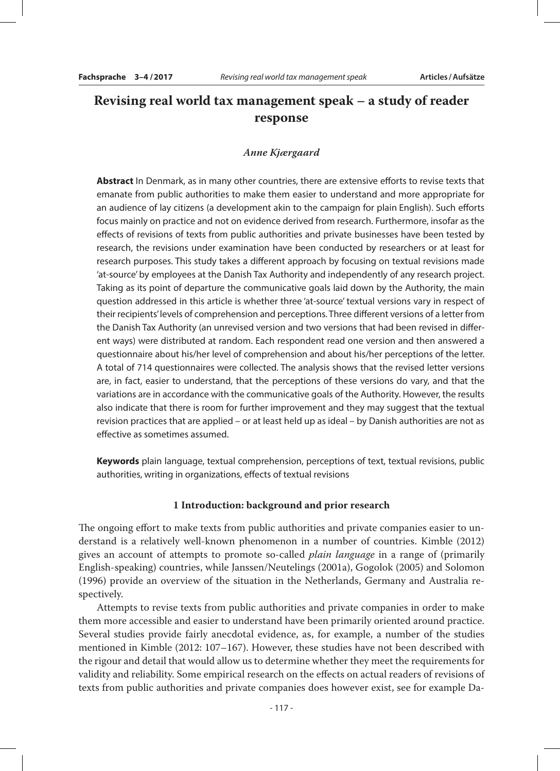# **Revising real world tax management speak – a study of reader response**

#### *Anne Kjærgaard*

**Abstract** In Denmark, as in many other countries, there are extensive efforts to revise texts that emanate from public authorities to make them easier to understand and more appropriate for an audience of lay citizens (a development akin to the campaign for plain English). Such efforts focus mainly on practice and not on evidence derived from research. Furthermore, insofar as the effects of revisions of texts from public authorities and private businesses have been tested by research, the revisions under examination have been conducted by researchers or at least for research purposes. This study takes a different approach by focusing on textual revisions made 'at-source' by employees at the Danish Tax Authority and independently of any research project. Taking as its point of departure the communicative goals laid down by the Authority, the main question addressed in this article is whether three 'at-source' textual versions vary in respect of their recipients' levels of comprehension and perceptions. Three different versions of a letter from the Danish Tax Authority (an unrevised version and two versions that had been revised in different ways) were distributed at random. Each respondent read one version and then answered a questionnaire about his/her level of comprehension and about his/her perceptions of the letter. A total of 714 questionnaires were collected. The analysis shows that the revised letter versions are, in fact, easier to understand, that the perceptions of these versions do vary, and that the variations are in accordance with the communicative goals of the Authority. However, the results also indicate that there is room for further improvement and they may suggest that the textual revision practices that are applied – or at least held up as ideal – by Danish authorities are not as effective as sometimes assumed.

**Keywords** plain language, textual comprehension, perceptions of text, textual revisions, public authorities, writing in organizations, effects of textual revisions

#### **1 Introduction: background and prior research**

The ongoing effort to make texts from public authorities and private companies easier to understand is a relatively well-known phenomenon in a number of countries. Kimble (2012) gives an account of attempts to promote so-called *plain language* in a range of (primarily English-speaking) countries, while Janssen/Neutelings (2001a), Gogolok (2005) and Solomon (1996) provide an overview of the situation in the Netherlands, Germany and Australia respectively.

Attempts to revise texts from public authorities and private companies in order to make them more accessible and easier to understand have been primarily oriented around practice. Several studies provide fairly anecdotal evidence, as, for example, a number of the studies mentioned in Kimble (2012: 107–167). However, these studies have not been described with the rigour and detail that would allow us to determine whether they meet the requirements for validity and reliability. Some empirical research on the effects on actual readers of revisions of texts from public authorities and private companies does however exist, see for example Da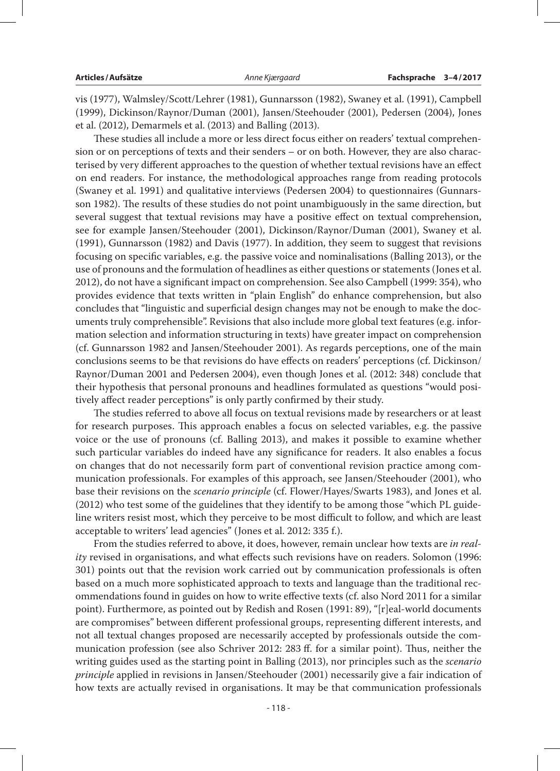vis (1977), Walmsley/Scott/Lehrer (1981), Gunnarsson (1982), Swaney et al. (1991), Campbell (1999), Dickinson/Raynor/Duman (2001), Jansen/Steehouder (2001), Pedersen (2004), Jones et al. (2012), Demarmels et al. (2013) and Balling (2013).

These studies all include a more or less direct focus either on readers' textual comprehension or on perceptions of texts and their senders – or on both. However, they are also characterised by very different approaches to the question of whether textual revisions have an effect on end readers. For instance, the methodological approaches range from reading protocols (Swaney et al. 1991) and qualitative interviews (Pedersen 2004) to questionnaires (Gunnarsson 1982). The results of these studies do not point unambiguously in the same direction, but several suggest that textual revisions may have a positive effect on textual comprehension, see for example Jansen/Steehouder (2001), Dickinson/Raynor/Duman (2001), Swaney et al. (1991), Gunnarsson (1982) and Davis (1977). In addition, they seem to suggest that revisions focusing on specific variables, e.g. the passive voice and nominalisations (Balling 2013), or the use of pronouns and the formulation of headlines as either questions or statements (Jones et al. 2012), do not have a significant impact on comprehension. See also Campbell (1999: 354), who provides evidence that texts written in "plain English" do enhance comprehension, but also concludes that "linguistic and superficial design changes may not be enough to make the documents truly comprehensible". Revisions that also include more global text features (e.g. information selection and information structuring in texts) have greater impact on comprehension (cf. Gunnarsson 1982 and Jansen/Steehouder 2001). As regards perceptions, one of the main conclusions seems to be that revisions do have effects on readers' perceptions (cf. Dickinson/ Raynor/Duman 2001 and Pedersen 2004), even though Jones et al. (2012: 348) conclude that their hypothesis that personal pronouns and headlines formulated as questions "would positively affect reader perceptions" is only partly confirmed by their study.

The studies referred to above all focus on textual revisions made by researchers or at least for research purposes. This approach enables a focus on selected variables, e.g. the passive voice or the use of pronouns (cf. Balling 2013), and makes it possible to examine whether such particular variables do indeed have any significance for readers. It also enables a focus on changes that do not necessarily form part of conventional revision practice among communication professionals. For examples of this approach, see Jansen/Steehouder (2001), who base their revisions on the *scenario principle* (cf. Flower/Hayes/Swarts 1983), and Jones et al. (2012) who test some of the guidelines that they identify to be among those "which PL guideline writers resist most, which they perceive to be most difficult to follow, and which are least acceptable to writers' lead agencies" (Jones et al. 2012: 335 f.).

From the studies referred to above, it does, however, remain unclear how texts are *in reality* revised in organisations, and what effects such revisions have on readers. Solomon (1996: 301) points out that the revision work carried out by communication professionals is often based on a much more sophisticated approach to texts and language than the traditional recommendations found in guides on how to write effective texts (cf. also Nord 2011 for a similar point). Furthermore, as pointed out by Redish and Rosen (1991: 89), "[r]eal-world documents are compromises" between different professional groups, representing different interests, and not all textual changes proposed are necessarily accepted by professionals outside the communication profession (see also Schriver 2012: 283 ff. for a similar point). Thus, neither the writing guides used as the starting point in Balling (2013), nor principles such as the *scenario principle* applied in revisions in Jansen/Steehouder (2001) necessarily give a fair indication of how texts are actually revised in organisations. It may be that communication professionals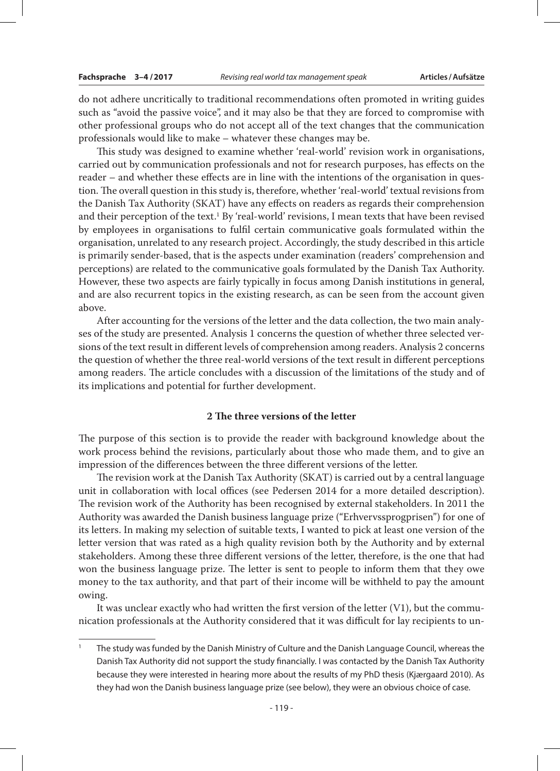do not adhere uncritically to traditional recommendations often promoted in writing guides such as "avoid the passive voice", and it may also be that they are forced to compromise with other professional groups who do not accept all of the text changes that the communication professionals would like to make – whatever these changes may be.

This study was designed to examine whether 'real-world' revision work in organisations, carried out by communication professionals and not for research purposes, has effects on the reader – and whether these effects are in line with the intentions of the organisation in question. The overall question in this study is, therefore, whether 'real-world' textual revisions from the Danish Tax Authority (SKAT) have any effects on readers as regards their comprehension and their perception of the text.<sup>1</sup> By 'real-world' revisions, I mean texts that have been revised by employees in organisations to fulfil certain communicative goals formulated within the organisation, unrelated to any research project. Accordingly, the study described in this article is primarily sender-based, that is the aspects under examination (readers' comprehension and perceptions) are related to the communicative goals formulated by the Danish Tax Authority. However, these two aspects are fairly typically in focus among Danish institutions in general, and are also recurrent topics in the existing research, as can be seen from the account given above.

After accounting for the versions of the letter and the data collection, the two main analyses of the study are presented. Analysis 1 concerns the question of whether three selected versions of the text result in different levels of comprehension among readers. Analysis 2 concerns the question of whether the three real-world versions of the text result in different perceptions among readers. The article concludes with a discussion of the limitations of the study and of its implications and potential for further development.

# **2 The three versions of the letter**

The purpose of this section is to provide the reader with background knowledge about the work process behind the revisions, particularly about those who made them, and to give an impression of the differences between the three different versions of the letter.

The revision work at the Danish Tax Authority (SKAT) is carried out by a central language unit in collaboration with local offices (see Pedersen 2014 for a more detailed description). The revision work of the Authority has been recognised by external stakeholders. In 2011 the Authority was awarded the Danish business language prize ("Erhvervssprogprisen") for one of its letters. In making my selection of suitable texts, I wanted to pick at least one version of the letter version that was rated as a high quality revision both by the Authority and by external stakeholders. Among these three different versions of the letter, therefore, is the one that had won the business language prize. The letter is sent to people to inform them that they owe money to the tax authority, and that part of their income will be withheld to pay the amount owing.

It was unclear exactly who had written the first version of the letter  $(V1)$ , but the communication professionals at the Authority considered that it was difficult for lay recipients to un-

<sup>&</sup>lt;sup>1</sup> The study was funded by the Danish Ministry of Culture and the Danish Language Council, whereas the Danish Tax Authority did not support the study financially. I was contacted by the Danish Tax Authority because they were interested in hearing more about the results of my PhD thesis (Kjærgaard 2010). As they had won the Danish business language prize (see below), they were an obvious choice of case.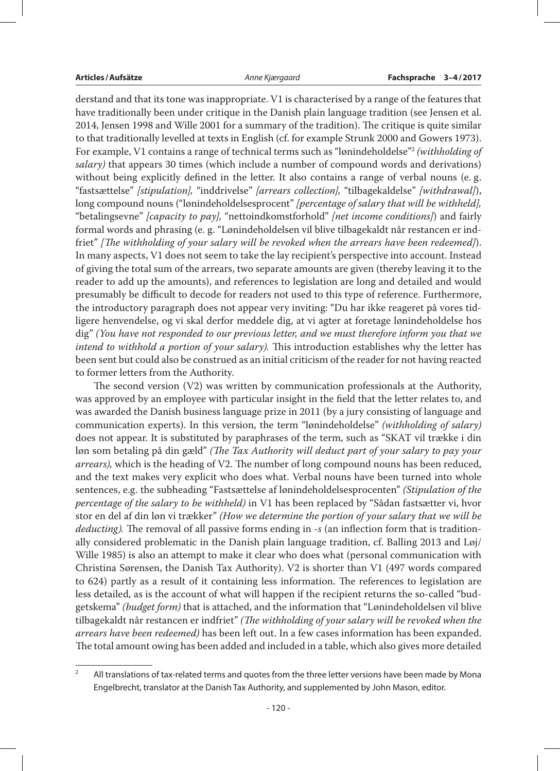derstand and that its tone was inappropriate. V1 is characterised by a range of the features that have traditionally been under critique in the Danish plain language tradition (see Jensen et al. 2014, Jensen 1998 and Wille 2001 for a summary of the tradition). The critique is quite similar to that traditionally levelled at texts in English (cf. for example Strunk 2000 and Gowers 1973). For example, V1 contains a range of technical terms such as "lønindeholdelse"2 *(withholding of salary)* that appears 30 times (which include a number of compound words and derivations) without being explicitly defined in the letter. It also contains a range of verbal nouns (e. g. "fastsættelse" *[stipulation],* "inddrivelse" *[arrears collection],* "tilbagekaldelse" *[withdrawal]*), long compound nouns ("lønindeholdelsesprocent" *[percentage of salary that will be withheld],* "betalingsevne" *[capacity to pay],* "nettoindkomstforhold" *[net income conditions]*) and fairly formal words and phrasing (e. g. "Lønindeholdelsen vil blive tilbagekaldt når restancen er indfriet" *[The withholding of your salary will be revoked when the arrears have been redeemed]*). In many aspects, V1 does not seem to take the lay recipient's perspective into account. Instead of giving the total sum of the arrears, two separate amounts are given (thereby leaving it to the reader to add up the amounts), and references to legislation are long and detailed and would presumably be difficult to decode for readers not used to this type of reference. Furthermore, the introductory paragraph does not appear very inviting: "Du har ikke reageret på vores tidligere henvendelse, og vi skal derfor meddele dig, at vi agter at foretage lønindeholdelse hos dig" *(You have not responded to our previous letter, and we must therefore inform you that we intend to withhold a portion of your salary).* This introduction establishes why the letter has been sent but could also be construed as an initial criticism of the reader for not having reacted to former letters from the Authority.

The second version (V2) was written by communication professionals at the Authority, was approved by an employee with particular insight in the field that the letter relates to, and was awarded the Danish business language prize in 2011 (by a jury consisting of language and communication experts). In this version, the term "lønindeholdelse" *(withholding of salary)* does not appear. It is substituted by paraphrases of the term, such as "SKAT vil trække i din løn som betaling på din gæld" *(The Tax Authority will deduct part of your salary to pay your arrears),* which is the heading of V2. The number of long compound nouns has been reduced, and the text makes very explicit who does what. Verbal nouns have been turned into whole sentences, e.g. the subheading "Fastsættelse af lønindeholdelsesprocenten" *(Stipulation of the percentage of the salary to be withheld)* in V1 has been replaced by "Sådan fastsætter vi, hvor stor en del af din løn vi trækker" *(How we determine the portion of your salary that we will be deducting).* The removal of all passive forms ending in -*s* (an inflection form that is traditionally considered problematic in the Danish plain language tradition, cf. Balling 2013 and Løj/ Wille 1985) is also an attempt to make it clear who does what (personal communication with Christina Sørensen, the Danish Tax Authority). V2 is shorter than V1 (497 words compared to 624) partly as a result of it containing less information. The references to legislation are less detailed, as is the account of what will happen if the recipient returns the so-called "budgetskema" *(budget form)* that is attached, and the information that "Lønindeholdelsen vil blive tilbagekaldt når restancen er indfriet" *(The withholding of your salary will be revoked when the arrears have been redeemed)* has been left out. In a few cases information has been expanded. The total amount owing has been added and included in a table, which also gives more detailed

<sup>&</sup>lt;sup>2</sup> All translations of tax-related terms and quotes from the three letter versions have been made by Mona Engelbrecht, translator at the Danish Tax Authority, and supplemented by John Mason, editor.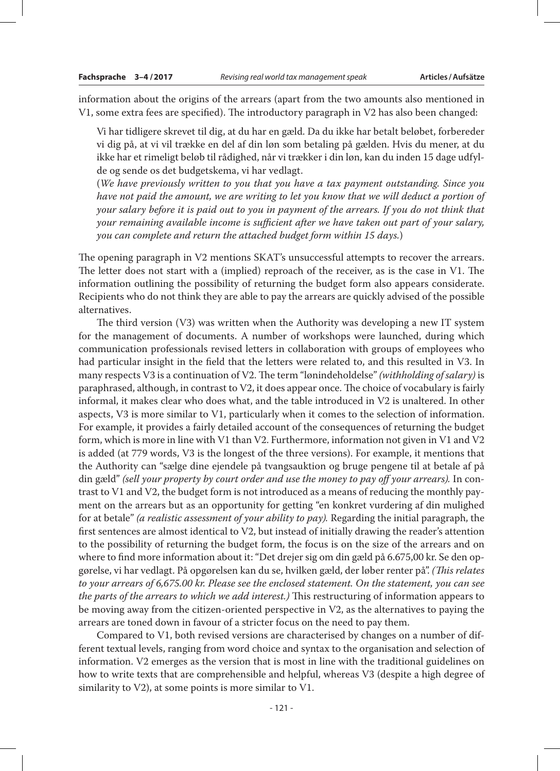information about the origins of the arrears (apart from the two amounts also mentioned in V1, some extra fees are specified). The introductory paragraph in V2 has also been changed:

Vi har tidligere skrevet til dig, at du har en gæld. Da du ikke har betalt beløbet, forbereder vi dig på, at vi vil trække en del af din løn som betaling på gælden. Hvis du mener, at du ikke har et rimeligt beløb til rådighed, når vi trækker i din løn, kan du inden 15 dage udfylde og sende os det budgetskema, vi har vedlagt.

(*We have previously written to you that you have a tax payment outstanding. Since you have not paid the amount, we are writing to let you know that we will deduct a portion of your salary before it is paid out to you in payment of the arrears. If you do not think that your remaining available income is sufficient after we have taken out part of your salary, you can complete and return the attached budget form within 15 days.*)

The opening paragraph in V2 mentions SKAT's unsuccessful attempts to recover the arrears. The letter does not start with a (implied) reproach of the receiver, as is the case in V1. The information outlining the possibility of returning the budget form also appears considerate. Recipients who do not think they are able to pay the arrears are quickly advised of the possible alternatives.

The third version (V3) was written when the Authority was developing a new IT system for the management of documents. A number of workshops were launched, during which communication professionals revised letters in collaboration with groups of employees who had particular insight in the field that the letters were related to, and this resulted in V3. In many respects V3 is a continuation of V2. The term "lønindeholdelse" *(withholding of salary)* is paraphrased, although, in contrast to V2, it does appear once. The choice of vocabulary is fairly informal, it makes clear who does what, and the table introduced in V2 is unaltered. In other aspects, V3 is more similar to V1, particularly when it comes to the selection of information. For example, it provides a fairly detailed account of the consequences of returning the budget form, which is more in line with V1 than V2. Furthermore, information not given in V1 and V2 is added (at 779 words, V3 is the longest of the three versions). For example, it mentions that the Authority can "sælge dine ejendele på tvangsauktion og bruge pengene til at betale af på din gæld" *(sell your property by court order and use the money to pay off your arrears).* In contrast to V1 and V2, the budget form is not introduced as a means of reducing the monthly payment on the arrears but as an opportunity for getting "en konkret vurdering af din mulighed for at betale" *(a realistic assessment of your ability to pay).* Regarding the initial paragraph, the first sentences are almost identical to V2, but instead of initially drawing the reader's attention to the possibility of returning the budget form, the focus is on the size of the arrears and on where to find more information about it: "Det drejer sig om din gæld på 6.675,00 kr. Se den opgørelse, vi har vedlagt. På opgørelsen kan du se, hvilken gæld, der løber renter på". *(This relates to your arrears of 6,675.00 kr. Please see the enclosed statement. On the statement, you can see the parts of the arrears to which we add interest.)* This restructuring of information appears to be moving away from the citizen-oriented perspective in V2, as the alternatives to paying the arrears are toned down in favour of a stricter focus on the need to pay them.

Compared to V1, both revised versions are characterised by changes on a number of different textual levels, ranging from word choice and syntax to the organisation and selection of information. V2 emerges as the version that is most in line with the traditional guidelines on how to write texts that are comprehensible and helpful, whereas V3 (despite a high degree of similarity to V2), at some points is more similar to V1.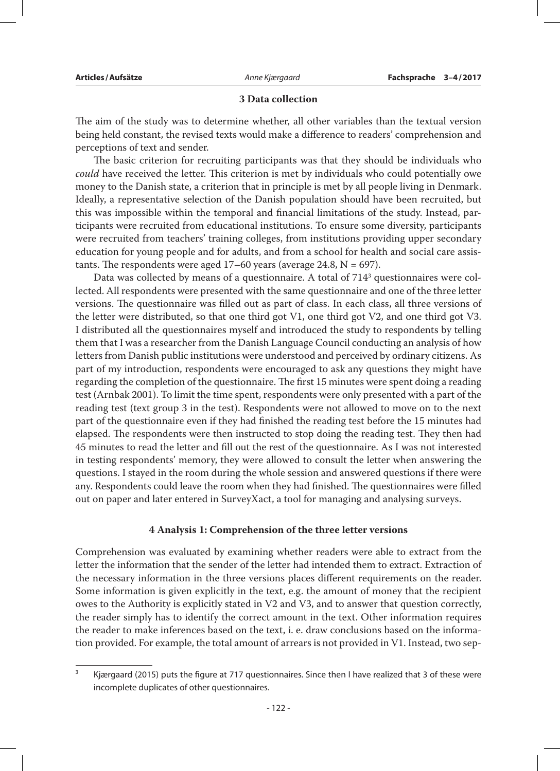## **3 Data collection**

The aim of the study was to determine whether, all other variables than the textual version being held constant, the revised texts would make a difference to readers' comprehension and perceptions of text and sender.

The basic criterion for recruiting participants was that they should be individuals who *could* have received the letter. This criterion is met by individuals who could potentially owe money to the Danish state, a criterion that in principle is met by all people living in Denmark. Ideally, a representative selection of the Danish population should have been recruited, but this was impossible within the temporal and financial limitations of the study. Instead, participants were recruited from educational institutions. To ensure some diversity, participants were recruited from teachers' training colleges, from institutions providing upper secondary education for young people and for adults, and from a school for health and social care assistants. The respondents were aged  $17-60$  years (average 24.8, N = 697).

Data was collected by means of a questionnaire. A total of  $714^3$  questionnaires were collected. All respondents were presented with the same questionnaire and one of the three letter versions. The questionnaire was filled out as part of class. In each class, all three versions of the letter were distributed, so that one third got V1, one third got V2, and one third got V3. I distributed all the questionnaires myself and introduced the study to respondents by telling them that I was a researcher from the Danish Language Council conducting an analysis of how letters from Danish public institutions were understood and perceived by ordinary citizens. As part of my introduction, respondents were encouraged to ask any questions they might have regarding the completion of the questionnaire. The first 15 minutes were spent doing a reading test (Arnbak 2001). To limit the time spent, respondents were only presented with a part of the reading test (text group 3 in the test). Respondents were not allowed to move on to the next part of the questionnaire even if they had finished the reading test before the 15 minutes had elapsed. The respondents were then instructed to stop doing the reading test. They then had 45 minutes to read the letter and fill out the rest of the questionnaire. As I was not interested in testing respondents' memory, they were allowed to consult the letter when answering the questions. I stayed in the room during the whole session and answered questions if there were any. Respondents could leave the room when they had finished. The questionnaires were filled out on paper and later entered in SurveyXact, a tool for managing and analysing surveys.

### **4 Analysis 1: Comprehension of the three letter versions**

Comprehension was evaluated by examining whether readers were able to extract from the letter the information that the sender of the letter had intended them to extract. Extraction of the necessary information in the three versions places different requirements on the reader. Some information is given explicitly in the text, e.g. the amount of money that the recipient owes to the Authority is explicitly stated in V2 and V3, and to answer that question correctly, the reader simply has to identify the correct amount in the text. Other information requires the reader to make inferences based on the text, i. e. draw conclusions based on the information provided. For example, the total amount of arrears is not provided in V1. Instead, two sep-

<sup>&</sup>lt;sup>3</sup> Kjærgaard (2015) puts the figure at 717 questionnaires. Since then I have realized that 3 of these were incomplete duplicates of other questionnaires.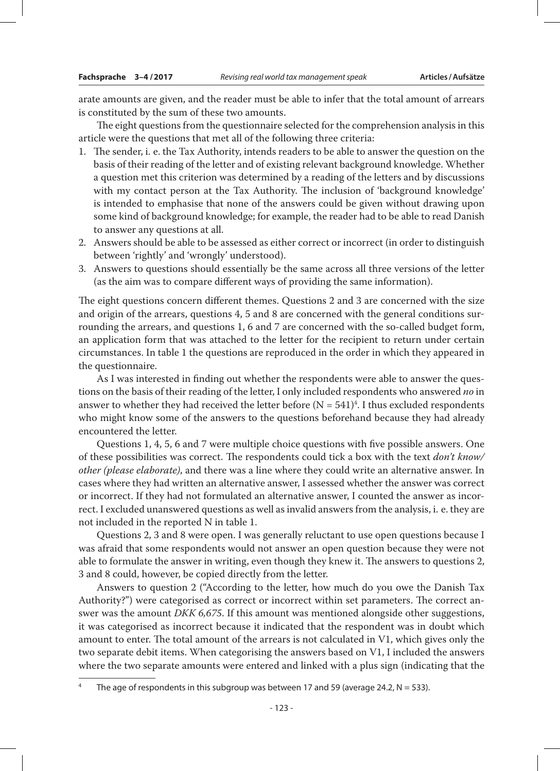arate amounts are given, and the reader must be able to infer that the total amount of arrears is constituted by the sum of these two amounts.

The eight questions from the questionnaire selected for the comprehension analysis in this article were the questions that met all of the following three criteria:

- 1. The sender, i. e. the Tax Authority, intends readers to be able to answer the question on the basis of their reading of the letter and of existing relevant background knowledge. Whether a question met this criterion was determined by a reading of the letters and by discussions with my contact person at the Tax Authority. The inclusion of 'background knowledge' is intended to emphasise that none of the answers could be given without drawing upon some kind of background knowledge; for example, the reader had to be able to read Danish to answer any questions at all.
- 2. Answers should be able to be assessed as either correct or incorrect (in order to distinguish between 'rightly' and 'wrongly' understood).
- 3. Answers to questions should essentially be the same across all three versions of the letter (as the aim was to compare different ways of providing the same information).

The eight questions concern different themes. Questions 2 and 3 are concerned with the size and origin of the arrears, questions 4, 5 and 8 are concerned with the general conditions surrounding the arrears, and questions 1, 6 and 7 are concerned with the so-called budget form, an application form that was attached to the letter for the recipient to return under certain circumstances. In table 1 the questions are reproduced in the order in which they appeared in the questionnaire.

As I was interested in finding out whether the respondents were able to answer the questions on the basis of their reading of the letter, I only included respondents who answered *no* in answer to whether they had received the letter before ( $N = 541$ )<sup>4</sup>. I thus excluded respondents who might know some of the answers to the questions beforehand because they had already encountered the letter.

Questions 1, 4, 5, 6 and 7 were multiple choice questions with five possible answers. One of these possibilities was correct. The respondents could tick a box with the text *don't know/ other (please elaborate)*, and there was a line where they could write an alternative answer. In cases where they had written an alternative answer, I assessed whether the answer was correct or incorrect. If they had not formulated an alternative answer, I counted the answer as incorrect. I excluded unanswered questions as well as invalid answers from the analysis, i. e. they are not included in the reported N in table 1.

Questions 2, 3 and 8 were open. I was generally reluctant to use open questions because I was afraid that some respondents would not answer an open question because they were not able to formulate the answer in writing, even though they knew it. The answers to questions 2, 3 and 8 could, however, be copied directly from the letter.

Answers to question 2 ("According to the letter, how much do you owe the Danish Tax Authority?") were categorised as correct or incorrect within set parameters. The correct answer was the amount *DKK 6,675*. If this amount was mentioned alongside other suggestions, it was categorised as incorrect because it indicated that the respondent was in doubt which amount to enter. The total amount of the arrears is not calculated in V1, which gives only the two separate debit items. When categorising the answers based on V1, I included the answers where the two separate amounts were entered and linked with a plus sign (indicating that the

<sup>&</sup>lt;sup>4</sup> The age of respondents in this subgroup was between 17 and 59 (average 24.2,  $N = 533$ ).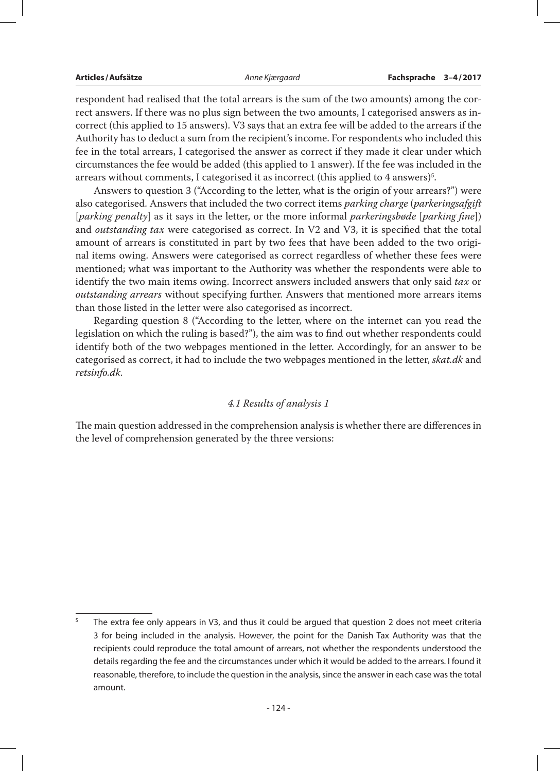respondent had realised that the total arrears is the sum of the two amounts) among the correct answers. If there was no plus sign between the two amounts, I categorised answers as incorrect (this applied to 15 answers). V3 says that an extra fee will be added to the arrears if the Authority has to deduct a sum from the recipient's income. For respondents who included this fee in the total arrears, I categorised the answer as correct if they made it clear under which circumstances the fee would be added (this applied to 1 answer). If the fee was included in the arrears without comments, I categorised it as incorrect (this applied to  $4$  answers) $^{\circ}$ .

Answers to question 3 ("According to the letter, what is the origin of your arrears?") were also categorised. Answers that included the two correct items *parking charge* (*parkeringsafgift*  [*parking penalty*] as it says in the letter, or the more informal *parkeringsbøde* [*parking fine*]) and *outstanding tax* were categorised as correct. In V2 and V3, it is specified that the total amount of arrears is constituted in part by two fees that have been added to the two original items owing. Answers were categorised as correct regardless of whether these fees were mentioned; what was important to the Authority was whether the respondents were able to identify the two main items owing. Incorrect answers included answers that only said *tax* or *outstanding arrears* without specifying further. Answers that mentioned more arrears items than those listed in the letter were also categorised as incorrect.

Regarding question 8 ("According to the letter, where on the internet can you read the legislation on which the ruling is based?"), the aim was to find out whether respondents could identify both of the two webpages mentioned in the letter. Accordingly, for an answer to be categorised as correct, it had to include the two webpages mentioned in the letter, *skat.dk* and *retsinfo.dk*.

### *4.1 Results of analysis 1*

The main question addressed in the comprehension analysis is whether there are differences in the level of comprehension generated by the three versions:

 $5$  The extra fee only appears in V3, and thus it could be argued that question 2 does not meet criteria 3 for being included in the analysis. However, the point for the Danish Tax Authority was that the recipients could reproduce the total amount of arrears, not whether the respondents understood the details regarding the fee and the circumstances under which it would be added to the arrears. I found it reasonable, therefore, to include the question in the analysis, since the answer in each case was the total amount.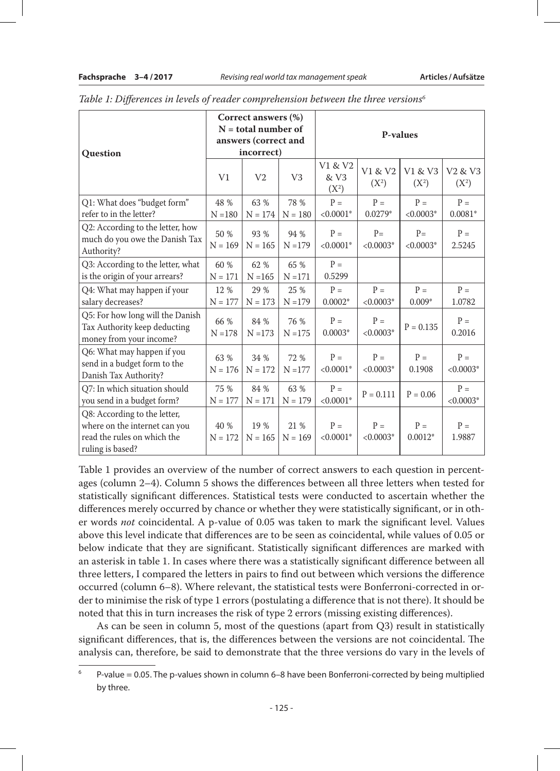| Question                                                                                                         | Correct answers (%)<br>$N =$ total number of<br>answers (correct and<br>incorrect) |                   |                   | <b>P-values</b>            |                      |                      |                                            |
|------------------------------------------------------------------------------------------------------------------|------------------------------------------------------------------------------------|-------------------|-------------------|----------------------------|----------------------|----------------------|--------------------------------------------|
|                                                                                                                  | V1                                                                                 | V <sub>2</sub>    | V <sub>3</sub>    | V1 & V2<br>& V3<br>$(X^2)$ | V1 & V2<br>$(X^2)$   | V1 & V3<br>$(X^2)$   | V <sub>2</sub> & V <sub>3</sub><br>$(X^2)$ |
| Q1: What does "budget form"<br>refer to in the letter?                                                           | 48 %<br>$N = 180$                                                                  | 63 %<br>$N = 174$ | 78 %<br>$N = 180$ | $P =$<br>$< 0.0001*$       | $P =$<br>$0.0279*$   | $P =$<br>$< 0.0003*$ | $P =$<br>$0.0081*$                         |
| Q2: According to the letter, how<br>much do you owe the Danish Tax<br>Authority?                                 | 50 %<br>$N = 169$                                                                  | 93 %<br>$N = 165$ | 94 %<br>$N = 179$ | $P =$<br>$< 0.0001*$       | $P=$<br>$< 0.0003*$  | $P=$<br>$< 0.0003*$  | $P =$<br>2.5245                            |
| Q3: According to the letter, what<br>is the origin of your arrears?                                              | 60 %<br>$N = 171$                                                                  | 62 %<br>$N = 165$ | 65 %<br>$N = 171$ | $P =$<br>0.5299            |                      |                      |                                            |
| Q4: What may happen if your<br>salary decreases?                                                                 | 12 %<br>$N = 177$                                                                  | 29 %<br>$N = 173$ | 25 %<br>$N = 179$ | $P =$<br>$0.0002*$         | $P =$<br>$< 0.0003*$ | $P =$<br>$0.009*$    | $P =$<br>1.0782                            |
| Q5: For how long will the Danish<br>Tax Authority keep deducting<br>money from your income?                      | 66 %<br>$N = 178$                                                                  | 84 %<br>$N = 173$ | 76 %<br>$N = 175$ | $P =$<br>$0.0003*$         | $P =$<br>$< 0.0003*$ | $P = 0.135$          | $P =$<br>0.2016                            |
| Q6: What may happen if you<br>send in a budget form to the<br>Danish Tax Authority?                              | 63 %<br>$N = 176$                                                                  | 34 %<br>$N = 172$ | 72 %<br>$N = 177$ | $P =$<br>$< 0.0001*$       | $P =$<br>$< 0.0003*$ | $P =$<br>0.1908      | $P =$<br>$< 0.0003*$                       |
| Q7: In which situation should<br>you send in a budget form?                                                      | 75 %<br>$N = 177$                                                                  | 84 %<br>$N = 171$ | 63 %<br>$N = 179$ | $P =$<br>$< 0.0001*$       | $P = 0.111$          | $P = 0.06$           | $P =$<br>$< 0.0003*$                       |
| Q8: According to the letter,<br>where on the internet can you<br>read the rules on which the<br>ruling is based? | 40 %<br>$N = 172$                                                                  | 19 %<br>$N = 165$ | 21 %<br>$N = 169$ | $P =$<br>$< 0.0001*$       | $P =$<br>$< 0.0003*$ | $P =$<br>$0.0012*$   | $P =$<br>1.9887                            |

*Table 1: Differences in levels of reader comprehension between the three versions6*

Table 1 provides an overview of the number of correct answers to each question in percentages (column 2–4). Column 5 shows the differences between all three letters when tested for statistically significant differences. Statistical tests were conducted to ascertain whether the differences merely occurred by chance or whether they were statistically significant, or in other words *not* coincidental. A p-value of 0.05 was taken to mark the significant level. Values above this level indicate that differences are to be seen as coincidental, while values of 0.05 or below indicate that they are significant. Statistically significant differences are marked with an asterisk in table 1. In cases where there was a statistically significant difference between all three letters, I compared the letters in pairs to find out between which versions the difference occurred (column 6–8). Where relevant, the statistical tests were Bonferroni-corrected in order to minimise the risk of type 1 errors (postulating a difference that is not there). It should be noted that this in turn increases the risk of type 2 errors (missing existing differences).

As can be seen in column 5, most of the questions (apart from Q3) result in statistically significant differences, that is, the differences between the versions are not coincidental. The analysis can, therefore, be said to demonstrate that the three versions do vary in the levels of

<sup>6</sup> P-value = 0.05. The p-values shown in column 6–8 have been Bonferroni-corrected by being multiplied by three.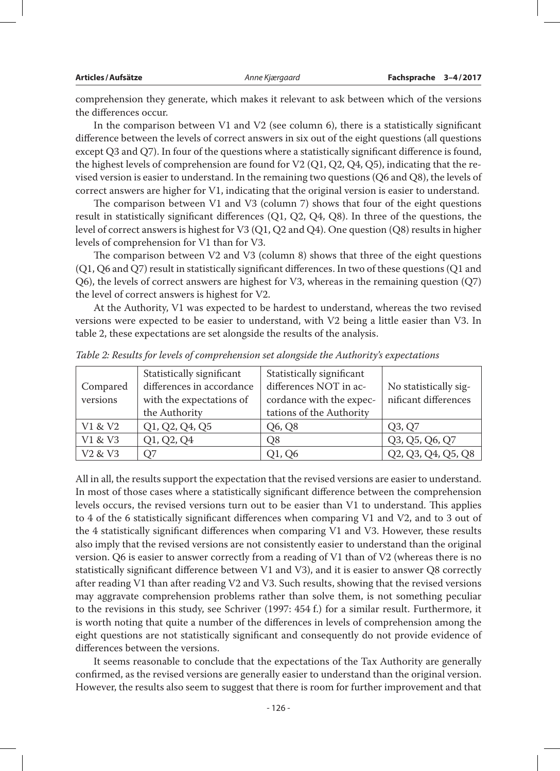comprehension they generate, which makes it relevant to ask between which of the versions the differences occur.

In the comparison between V1 and V2 (see column 6), there is a statistically significant difference between the levels of correct answers in six out of the eight questions (all questions except Q3 and Q7). In four of the questions where a statistically significant difference is found, the highest levels of comprehension are found for V2 (Q1, Q2, Q4, Q5), indicating that the revised version is easier to understand. In the remaining two questions (Q6 and Q8), the levels of correct answers are higher for V1, indicating that the original version is easier to understand.

The comparison between V1 and V3 (column 7) shows that four of the eight questions result in statistically significant differences (Q1, Q2, Q4, Q8). In three of the questions, the level of correct answers is highest for V3 (Q1, Q2 and Q4). One question (Q8) results in higher levels of comprehension for V1 than for V3.

The comparison between V2 and V3 (column 8) shows that three of the eight questions (Q1, Q6 and Q7) result in statistically significant differences. In two of these questions (Q1 and Q6), the levels of correct answers are highest for V3, whereas in the remaining question (Q7) the level of correct answers is highest for V2.

At the Authority, V1 was expected to be hardest to understand, whereas the two revised versions were expected to be easier to understand, with V2 being a little easier than V3. In table 2, these expectations are set alongside the results of the analysis.

|                                 | Statistically significant | Statistically significant |                       |
|---------------------------------|---------------------------|---------------------------|-----------------------|
| Compared                        | differences in accordance | differences NOT in ac-    | No statistically sig- |
| versions                        | with the expectations of  | cordance with the expec-  | nificant differences  |
|                                 | the Authority             | tations of the Authority  |                       |
| V1 & V2                         | Q1, Q2, Q4, Q5            | Q6, Q8                    | Q3, Q7                |
| V1 & V3                         | Q1, Q2, Q4                | O8                        | Q3, Q5, Q6, Q7        |
| V <sub>2</sub> & V <sub>3</sub> | О7                        | O1, O6                    | Q2, Q3, Q4, Q5, Q8    |

*Table 2: Results for levels of comprehension set alongside the Authority's expectations*

All in all, the results support the expectation that the revised versions are easier to understand. In most of those cases where a statistically significant difference between the comprehension levels occurs, the revised versions turn out to be easier than V1 to understand. This applies to 4 of the 6 statistically significant differences when comparing V1 and V2, and to 3 out of the 4 statistically significant differences when comparing V1 and V3. However, these results also imply that the revised versions are not consistently easier to understand than the original version. Q6 is easier to answer correctly from a reading of V1 than of V2 (whereas there is no statistically significant difference between V1 and V3), and it is easier to answer Q8 correctly after reading V1 than after reading V2 and V3. Such results, showing that the revised versions may aggravate comprehension problems rather than solve them, is not something peculiar to the revisions in this study, see Schriver (1997: 454 f.) for a similar result. Furthermore, it is worth noting that quite a number of the differences in levels of comprehension among the eight questions are not statistically significant and consequently do not provide evidence of differences between the versions.

It seems reasonable to conclude that the expectations of the Tax Authority are generally confirmed, as the revised versions are generally easier to understand than the original version. However, the results also seem to suggest that there is room for further improvement and that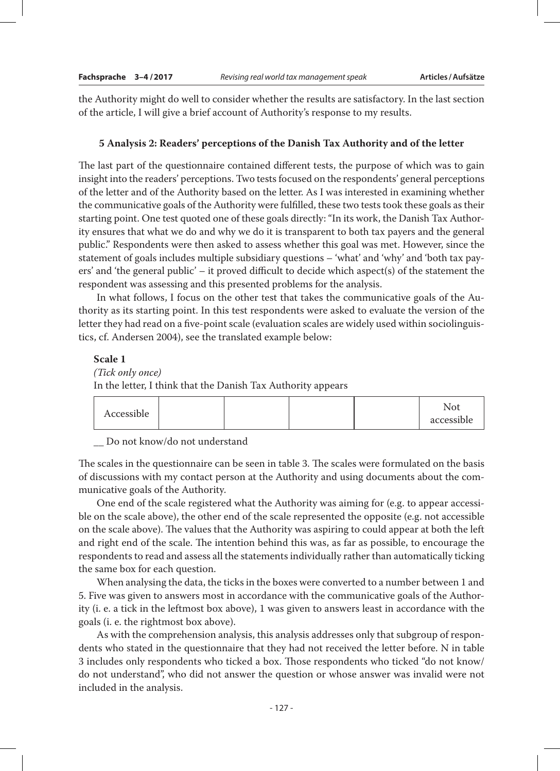the Authority might do well to consider whether the results are satisfactory. In the last section of the article, I will give a brief account of Authority's response to my results.

#### **5 Analysis 2: Readers' perceptions of the Danish Tax Authority and of the letter**

The last part of the questionnaire contained different tests, the purpose of which was to gain insight into the readers' perceptions. Two tests focused on the respondents' general perceptions of the letter and of the Authority based on the letter. As I was interested in examining whether the communicative goals of the Authority were fulfilled, these two tests took these goals as their starting point. One test quoted one of these goals directly: "In its work, the Danish Tax Authority ensures that what we do and why we do it is transparent to both tax payers and the general public." Respondents were then asked to assess whether this goal was met. However, since the statement of goals includes multiple subsidiary questions – 'what' and 'why' and 'both tax payers' and 'the general public' – it proved difficult to decide which aspect(s) of the statement the respondent was assessing and this presented problems for the analysis.

In what follows, I focus on the other test that takes the communicative goals of the Authority as its starting point. In this test respondents were asked to evaluate the version of the letter they had read on a five-point scale (evaluation scales are widely used within sociolinguistics, cf. Andersen 2004), see the translated example below:

#### **Scale 1**

#### *(Tick only once)*

In the letter, I think that the Danish Tax Authority appears

| Accessible |  |  |  |  | Not<br>accessible |
|------------|--|--|--|--|-------------------|
|------------|--|--|--|--|-------------------|

\_\_ Do not know/do not understand

The scales in the questionnaire can be seen in table 3. The scales were formulated on the basis of discussions with my contact person at the Authority and using documents about the communicative goals of the Authority.

One end of the scale registered what the Authority was aiming for (e.g. to appear accessible on the scale above), the other end of the scale represented the opposite (e.g. not accessible on the scale above). The values that the Authority was aspiring to could appear at both the left and right end of the scale. The intention behind this was, as far as possible, to encourage the respondents to read and assess all the statements individually rather than automatically ticking the same box for each question.

When analysing the data, the ticks in the boxes were converted to a number between 1 and 5. Five was given to answers most in accordance with the communicative goals of the Authority (i. e. a tick in the leftmost box above), 1 was given to answers least in accordance with the goals (i. e. the rightmost box above).

As with the comprehension analysis, this analysis addresses only that subgroup of respondents who stated in the questionnaire that they had not received the letter before. N in table 3 includes only respondents who ticked a box. Those respondents who ticked "do not know/ do not understand", who did not answer the question or whose answer was invalid were not included in the analysis.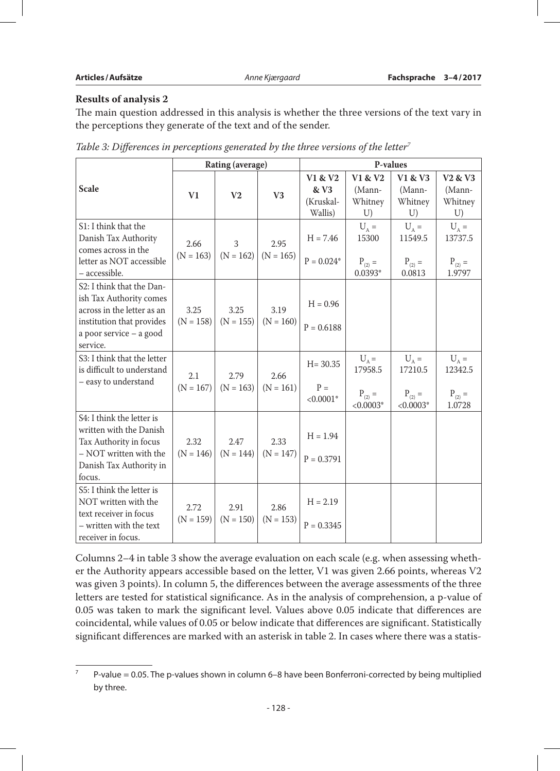# **Results of analysis 2**

The main question addressed in this analysis is whether the three versions of the text vary in the perceptions they generate of the text and of the sender.

|                                                                                                                                                        | <b>Rating (average)</b> |                     |                     | P-values                                |                                                  |                                                  |                                                           |
|--------------------------------------------------------------------------------------------------------------------------------------------------------|-------------------------|---------------------|---------------------|-----------------------------------------|--------------------------------------------------|--------------------------------------------------|-----------------------------------------------------------|
| <b>Scale</b>                                                                                                                                           | V <sub>1</sub>          | V <sub>2</sub>      | V3                  | V1 & V2<br>& V3<br>(Kruskal-<br>Wallis) | V1 & V2<br>(Mann-<br>Whitney<br>U)               | V1 & V3<br>(Mann-<br>Whitney<br>U)               | V <sub>2</sub> & V <sub>3</sub><br>(Mann-<br>Whitney<br>U |
| S1: I think that the<br>Danish Tax Authority<br>comes across in the<br>letter as NOT accessible<br>- accessible.                                       | 2.66<br>$(N = 163)$     | 3<br>$(N = 162)$    | 2.95<br>$(N = 165)$ | $H = 7.46$<br>$P = 0.024*$              | $U_A =$<br>15300<br>$P_{(2)} =$<br>$0.0393*$     | $U_A =$<br>11549.5<br>$P_{(2)} =$<br>0.0813      | $U_A =$<br>13737.5<br>$P_{(2)} =$<br>1.9797               |
| S2: I think that the Dan-<br>ish Tax Authority comes<br>across in the letter as an<br>institution that provides<br>a poor service - a good<br>service. | 3.25<br>$(N = 158)$     | 3.25<br>$(N = 155)$ | 3.19<br>$(N = 160)$ | $H = 0.96$<br>$P = 0.6188$              |                                                  |                                                  |                                                           |
| S3: I think that the letter<br>is difficult to understand<br>- easy to understand                                                                      | 2.1<br>$(N = 167)$      | 2.79<br>$(N = 163)$ | 2.66<br>$(N = 161)$ | $H = 30.35$<br>$P =$<br>$< 0.0001*$     | $U_A =$<br>17958.5<br>$P_{(2)} =$<br>$< 0.0003*$ | $U_A =$<br>17210.5<br>$P_{(2)} =$<br>$< 0.0003*$ | $U_A =$<br>12342.5<br>$P_{(2)} =$<br>1.0728               |
| S4: I think the letter is<br>written with the Danish<br>Tax Authority in focus<br>- NOT written with the<br>Danish Tax Authority in<br>focus.          | 2.32<br>$(N = 146)$     | 2.47<br>$(N = 144)$ | 2.33<br>$(N = 147)$ | $H = 1.94$<br>$P = 0.3791$              |                                                  |                                                  |                                                           |
| S5: I think the letter is<br>NOT written with the<br>text receiver in focus<br>- written with the text<br>receiver in focus.                           | 2.72<br>$(N = 159)$     | 2.91<br>$(N = 150)$ | 2.86<br>$(N = 153)$ | $H = 2.19$<br>$P = 0.3345$              |                                                  |                                                  |                                                           |

*Table 3: Differences in perceptions generated by the three versions of the letter<sup>7</sup>* 

Columns 2–4 in table 3 show the average evaluation on each scale (e.g. when assessing whether the Authority appears accessible based on the letter, V1 was given 2.66 points, whereas V2 was given 3 points). In column 5, the differences between the average assessments of the three letters are tested for statistical significance. As in the analysis of comprehension, a p-value of 0.05 was taken to mark the significant level. Values above 0.05 indicate that differences are coincidental, while values of 0.05 or below indicate that differences are significant. Statistically significant differences are marked with an asterisk in table 2. In cases where there was a statis-

 $7$  P-value = 0.05. The p-values shown in column 6–8 have been Bonferroni-corrected by being multiplied by three.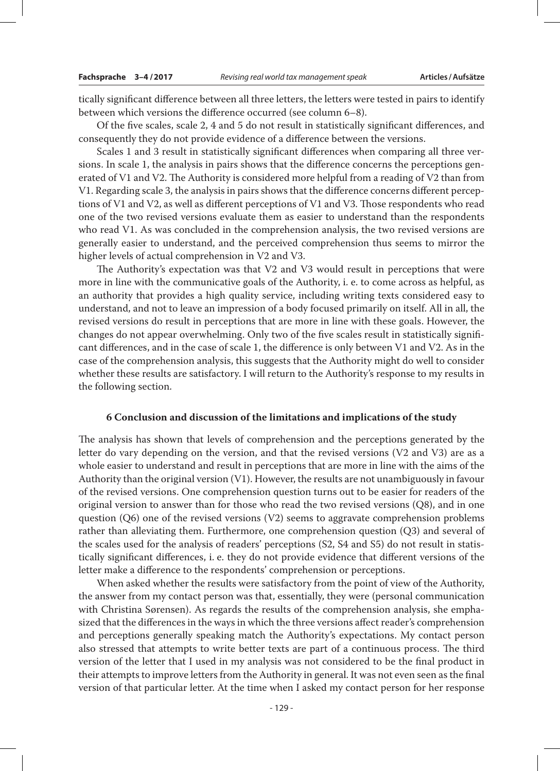tically significant difference between all three letters, the letters were tested in pairs to identify between which versions the difference occurred (see column 6–8).

Of the five scales, scale 2, 4 and 5 do not result in statistically significant differences, and consequently they do not provide evidence of a difference between the versions.

Scales 1 and 3 result in statistically significant differences when comparing all three versions. In scale 1, the analysis in pairs shows that the difference concerns the perceptions generated of V1 and V2. The Authority is considered more helpful from a reading of V2 than from V1. Regarding scale 3, the analysis in pairs shows that the difference concerns different perceptions of V1 and V2, as well as different perceptions of V1 and V3. Those respondents who read one of the two revised versions evaluate them as easier to understand than the respondents who read V1. As was concluded in the comprehension analysis, the two revised versions are generally easier to understand, and the perceived comprehension thus seems to mirror the higher levels of actual comprehension in V2 and V3.

The Authority's expectation was that V2 and V3 would result in perceptions that were more in line with the communicative goals of the Authority, i. e. to come across as helpful, as an authority that provides a high quality service, including writing texts considered easy to understand, and not to leave an impression of a body focused primarily on itself. All in all, the revised versions do result in perceptions that are more in line with these goals. However, the changes do not appear overwhelming. Only two of the five scales result in statistically significant differences, and in the case of scale 1, the difference is only between V1 and V2. As in the case of the comprehension analysis, this suggests that the Authority might do well to consider whether these results are satisfactory. I will return to the Authority's response to my results in the following section.

#### **6 Conclusion and discussion of the limitations and implications of the study**

The analysis has shown that levels of comprehension and the perceptions generated by the letter do vary depending on the version, and that the revised versions (V2 and V3) are as a whole easier to understand and result in perceptions that are more in line with the aims of the Authority than the original version (V1). However, the results are not unambiguously in favour of the revised versions. One comprehension question turns out to be easier for readers of the original version to answer than for those who read the two revised versions (Q8), and in one question  $(Q6)$  one of the revised versions  $(V2)$  seems to aggravate comprehension problems rather than alleviating them. Furthermore, one comprehension question (Q3) and several of the scales used for the analysis of readers' perceptions (S2, S4 and S5) do not result in statistically significant differences, i. e. they do not provide evidence that different versions of the letter make a difference to the respondents' comprehension or perceptions.

When asked whether the results were satisfactory from the point of view of the Authority, the answer from my contact person was that, essentially, they were (personal communication with Christina Sørensen). As regards the results of the comprehension analysis, she emphasized that the differences in the ways in which the three versions affect reader's comprehension and perceptions generally speaking match the Authority's expectations. My contact person also stressed that attempts to write better texts are part of a continuous process. The third version of the letter that I used in my analysis was not considered to be the final product in their attempts to improve letters from the Authority in general. It was not even seen as the final version of that particular letter. At the time when I asked my contact person for her response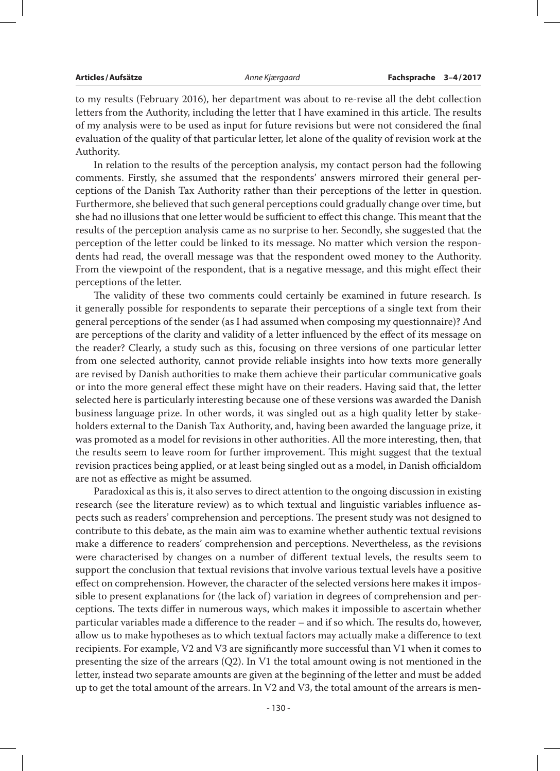to my results (February 2016), her department was about to re-revise all the debt collection letters from the Authority, including the letter that I have examined in this article. The results of my analysis were to be used as input for future revisions but were not considered the final evaluation of the quality of that particular letter, let alone of the quality of revision work at the Authority.

In relation to the results of the perception analysis, my contact person had the following comments. Firstly, she assumed that the respondents' answers mirrored their general perceptions of the Danish Tax Authority rather than their perceptions of the letter in question. Furthermore, she believed that such general perceptions could gradually change over time, but she had no illusions that one letter would be sufficient to effect this change. This meant that the results of the perception analysis came as no surprise to her. Secondly, she suggested that the perception of the letter could be linked to its message. No matter which version the respondents had read, the overall message was that the respondent owed money to the Authority. From the viewpoint of the respondent, that is a negative message, and this might effect their perceptions of the letter.

The validity of these two comments could certainly be examined in future research. Is it generally possible for respondents to separate their perceptions of a single text from their general perceptions of the sender (as I had assumed when composing my questionnaire)? And are perceptions of the clarity and validity of a letter influenced by the effect of its message on the reader? Clearly, a study such as this, focusing on three versions of one particular letter from one selected authority, cannot provide reliable insights into how texts more generally are revised by Danish authorities to make them achieve their particular communicative goals or into the more general effect these might have on their readers. Having said that, the letter selected here is particularly interesting because one of these versions was awarded the Danish business language prize. In other words, it was singled out as a high quality letter by stakeholders external to the Danish Tax Authority, and, having been awarded the language prize, it was promoted as a model for revisions in other authorities. All the more interesting, then, that the results seem to leave room for further improvement. This might suggest that the textual revision practices being applied, or at least being singled out as a model, in Danish officialdom are not as effective as might be assumed.

Paradoxical as this is, it also serves to direct attention to the ongoing discussion in existing research (see the literature review) as to which textual and linguistic variables influence aspects such as readers' comprehension and perceptions. The present study was not designed to contribute to this debate, as the main aim was to examine whether authentic textual revisions make a difference to readers' comprehension and perceptions. Nevertheless, as the revisions were characterised by changes on a number of different textual levels, the results seem to support the conclusion that textual revisions that involve various textual levels have a positive effect on comprehension. However, the character of the selected versions here makes it impossible to present explanations for (the lack of) variation in degrees of comprehension and perceptions. The texts differ in numerous ways, which makes it impossible to ascertain whether particular variables made a difference to the reader – and if so which. The results do, however, allow us to make hypotheses as to which textual factors may actually make a difference to text recipients. For example, V2 and V3 are significantly more successful than V1 when it comes to presenting the size of the arrears (Q2). In V1 the total amount owing is not mentioned in the letter, instead two separate amounts are given at the beginning of the letter and must be added up to get the total amount of the arrears. In V2 and V3, the total amount of the arrears is men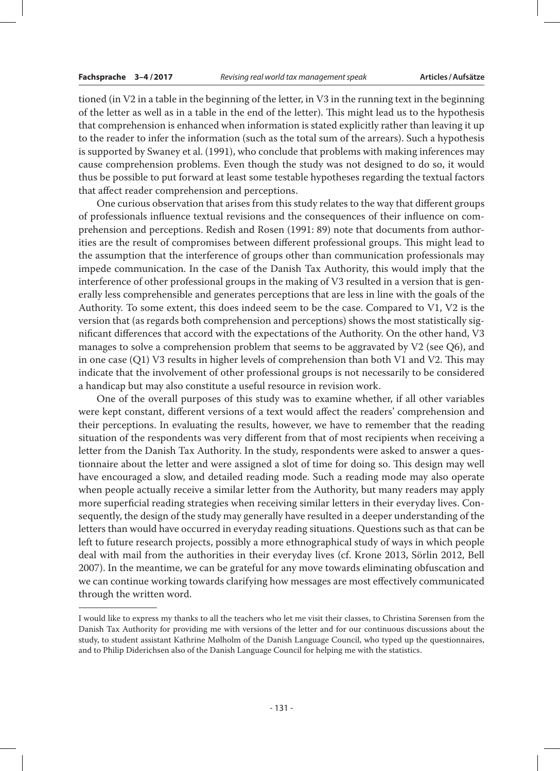tioned (in V2 in a table in the beginning of the letter, in V3 in the running text in the beginning of the letter as well as in a table in the end of the letter). This might lead us to the hypothesis that comprehension is enhanced when information is stated explicitly rather than leaving it up to the reader to infer the information (such as the total sum of the arrears). Such a hypothesis is supported by Swaney et al. (1991), who conclude that problems with making inferences may cause comprehension problems. Even though the study was not designed to do so, it would thus be possible to put forward at least some testable hypotheses regarding the textual factors that affect reader comprehension and perceptions.

One curious observation that arises from this study relates to the way that different groups of professionals influence textual revisions and the consequences of their influence on comprehension and perceptions. Redish and Rosen (1991: 89) note that documents from authorities are the result of compromises between different professional groups. This might lead to the assumption that the interference of groups other than communication professionals may impede communication. In the case of the Danish Tax Authority, this would imply that the interference of other professional groups in the making of V3 resulted in a version that is generally less comprehensible and generates perceptions that are less in line with the goals of the Authority. To some extent, this does indeed seem to be the case. Compared to V1, V2 is the version that (as regards both comprehension and perceptions) shows the most statistically significant differences that accord with the expectations of the Authority. On the other hand, V3 manages to solve a comprehension problem that seems to be aggravated by V2 (see Q6), and in one case (Q1) V3 results in higher levels of comprehension than both V1 and V2. This may indicate that the involvement of other professional groups is not necessarily to be considered a handicap but may also constitute a useful resource in revision work.

One of the overall purposes of this study was to examine whether, if all other variables were kept constant, different versions of a text would affect the readers' comprehension and their perceptions. In evaluating the results, however, we have to remember that the reading situation of the respondents was very different from that of most recipients when receiving a letter from the Danish Tax Authority. In the study, respondents were asked to answer a questionnaire about the letter and were assigned a slot of time for doing so. This design may well have encouraged a slow, and detailed reading mode. Such a reading mode may also operate when people actually receive a similar letter from the Authority, but many readers may apply more superficial reading strategies when receiving similar letters in their everyday lives. Consequently, the design of the study may generally have resulted in a deeper understanding of the letters than would have occurred in everyday reading situations. Questions such as that can be left to future research projects, possibly a more ethnographical study of ways in which people deal with mail from the authorities in their everyday lives (cf. Krone 2013, Sörlin 2012, Bell 2007). In the meantime, we can be grateful for any move towards eliminating obfuscation and we can continue working towards clarifying how messages are most effectively communicated through the written word.

I would like to express my thanks to all the teachers who let me visit their classes, to Christina Sørensen from the Danish Tax Authority for providing me with versions of the letter and for our continuous discussions about the study, to student assistant Kathrine Mølholm of the Danish Language Council, who typed up the questionnaires, and to Philip Diderichsen also of the Danish Language Council for helping me with the statistics.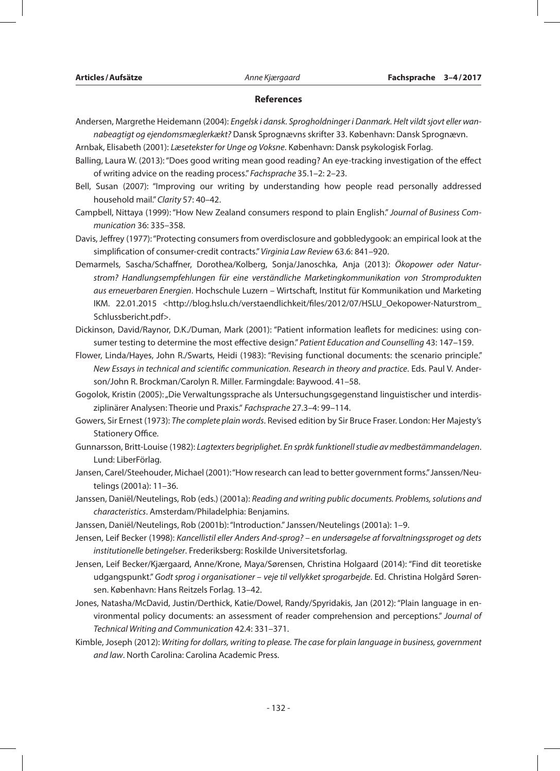#### **References**

- Andersen, Margrethe Heidemann (2004): *Engelsk i dansk. Sprogholdninger i Danmark. Helt vildt sjovt eller wannabeagtigt og ejendomsmæglerkækt?* Dansk Sprognævns skrifter 33. København: Dansk Sprognævn.
- Arnbak, Elisabeth (2001): *Læsetekster for Unge og Voksne*. København: Dansk psykologisk Forlag.
- Balling, Laura W. (2013): "Does good writing mean good reading? An eye-tracking investigation of the effect of writing advice on the reading process." *Fachsprache* 35.1–2: 2–23.
- Bell, Susan (2007): "Improving our writing by understanding how people read personally addressed household mail." *Clarity* 57: 40–42.
- Campbell, Nittaya (1999): "How New Zealand consumers respond to plain English." *Journal of Business Communication* 36: 335–358.
- Davis, Jeffrey (1977): "Protecting consumers from overdisclosure and gobbledygook: an empirical look at the simplification of consumer-credit contracts." *Virginia Law Review* 63.6: 841–920.
- Demarmels, Sascha/Schaffner, Dorothea/Kolberg, Sonja/Janoschka, Anja (2013): *Ökopower oder Naturstrom? Handlungsempfehlungen für eine verständliche Marketingkommunikation von Stromprodukten aus erneuerbaren Energien*. Hochschule Luzern – Wirtschaft, Institut für Kommunikation und Marketing IKM. 22.01.2015 <http://blog.hslu.ch/verstaendlichkeit/files/2012/07/HSLU\_Oekopower-Naturstrom\_ Schlussbericht.pdf>.
- Dickinson, David/Raynor, D.K./Duman, Mark (2001): "Patient information leaflets for medicines: using consumer testing to determine the most effective design." *Patient Education and Counselling* 43: 147–159.
- Flower, Linda/Hayes, John R./Swarts, Heidi (1983): "Revising functional documents: the scenario principle." *New Essays in technical and scientific communication. Research in theory and practice*. Eds. Paul V. Anderson/John R. Brockman/Carolyn R. Miller. Farmingdale: Baywood. 41–58.
- Gogolok, Kristin (2005): "Die Verwaltungssprache als Untersuchungsgegenstand linguistischer und interdisziplinärer Analysen: Theorie und Praxis." *Fachsprache* 27.3–4: 99–114.
- Gowers, Sir Ernest (1973): *The complete plain words*. Revised edition by Sir Bruce Fraser. London: Her Majesty's Stationery Office.
- Gunnarsson, Britt-Louise (1982): *Lagtexters begriplighet. En språk funktionell studie av medbestämmandelagen*. Lund: LiberFörlag.
- Jansen, Carel/Steehouder, Michael (2001): "How research can lead to better government forms." Janssen/Neutelings (2001a): 11–36.
- Janssen, Daniël/Neutelings, Rob (eds.) (2001a): *Reading and writing public documents. Problems, solutions and characteristics*. Amsterdam/Philadelphia: Benjamins.
- Janssen, Daniël/Neutelings, Rob (2001b): "Introduction." Janssen/Neutelings (2001a): 1–9.
- Jensen, Leif Becker (1998): *Kancellistil eller Anders And-sprog? en undersøgelse af forvaltningssproget og dets institutionelle betingelser*. Frederiksberg: Roskilde Universitetsforlag.
- Jensen, Leif Becker/Kjærgaard, Anne/Krone, Maya/Sørensen, Christina Holgaard (2014): "Find dit teoretiske udgangspunkt." *Godt sprog i organisationer* – *veje til vellykket sprogarbejde*. Ed. Christina Holgård Sørensen. København: Hans Reitzels Forlag. 13–42.
- Jones, Natasha/McDavid, Justin/Derthick, Katie/Dowel, Randy/Spyridakis, Jan (2012): "Plain language in environmental policy documents: an assessment of reader comprehension and perceptions." *Journal of Technical Writing and Communication* 42.4: 331–371.
- Kimble, Joseph (2012): *Writing for dollars, writing to please. The case for plain language in business, government and law*. North Carolina: Carolina Academic Press.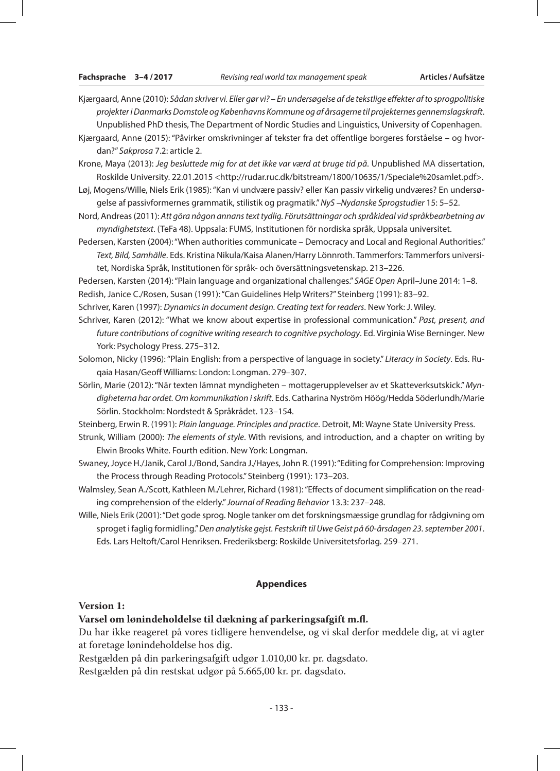- Kjærgaard, Anne (2010): *Sådan skriver vi. Eller gør vi? En undersøgelse af de tekstlige effekter af to sprogpolitiske projekter i Danmarks Domstole og Københavns Kommune og af årsagerne til projekternes gennemslagskraft*. Unpublished PhD thesis, The Department of Nordic Studies and Linguistics, University of Copenhagen.
- Kjærgaard, Anne (2015): "Påvirker omskrivninger af tekster fra det offentlige borgeres forståelse og hvordan?" *Sakprosa* 7.2: article 2.
- Krone, Maya (2013): *Jeg besluttede mig for at det ikke var værd at bruge tid på*. Unpublished MA dissertation, Roskilde University. 22.01.2015 <http://rudar.ruc.dk/bitstream/1800/10635/1/Speciale%20samlet.pdf>.

Løj, Mogens/Wille, Niels Erik (1985): "Kan vi undvære passiv? eller Kan passiv virkelig undværes? En undersøgelse af passivformernes grammatik, stilistik og pragmatik." *NyS –Nydanske Sprogstudier* 15: 5–52.

- Nord, Andreas (2011): *Att göra någon annans text tydlig. Förutsättningar och språkideal vid språkbearbetning av myndighetstext*. (TeFa 48). Uppsala: FUMS, Institutionen för nordiska språk, Uppsala universitet.
- Pedersen, Karsten (2004): "When authorities communicate Democracy and Local and Regional Authorities." *Text, Bild, Samhälle*. Eds. Kristina Nikula/Kaisa Alanen/Harry Lönnroth. Tammerfors: Tammerfors universitet, Nordiska Språk, Institutionen för språk- och översättningsvetenskap. 213–226.

Pedersen, Karsten (2014): "Plain language and organizational challenges." *SAGE Open* April–June 2014: 1–8.

Redish, Janice C./Rosen, Susan (1991): "Can Guidelines Help Writers?" Steinberg (1991): 83–92.

Schriver, Karen (1997): *Dynamics in document design. Creating text for readers*. New York: J. Wiley.

Schriver, Karen (2012): "What we know about expertise in professional communication." *Past, present, and future contributions of cognitive writing research to cognitive psychology*. Ed. Virginia Wise Berninger. New York: Psychology Press. 275–312.

Solomon, Nicky (1996): "Plain English: from a perspective of language in society." *Literacy in Society*. Eds. Ruqaia Hasan/Geoff Williams: London: Longman. 279–307.

Sörlin, Marie (2012): "När texten lämnat myndigheten – mottagerupplevelser av et Skatteverksutskick." *Myndigheterna har ordet. Om kommunikation i skrift*. Eds. Catharina Nyström Höög/Hedda Söderlundh/Marie Sörlin. Stockholm: Nordstedt & Språkrådet. 123–154.

Steinberg, Erwin R. (1991): *Plain language. Principles and practice*. Detroit, MI: Wayne State University Press.

Strunk, William (2000): *The elements of style*. With revisions, and introduction, and a chapter on writing by Elwin Brooks White. Fourth edition. New York: Longman.

- Swaney, Joyce H./Janik, Carol J./Bond, Sandra J./Hayes, John R. (1991): "Editing for Comprehension: Improving the Process through Reading Protocols." Steinberg (1991): 173–203.
- Walmsley, Sean A./Scott, Kathleen M./Lehrer, Richard (1981): "Effects of document simplification on the reading comprehension of the elderly." *Journal of Reading Behavior* 13.3: 237–248.
- Wille, Niels Erik (2001): "Det gode sprog. Nogle tanker om det forskningsmæssige grundlag for rådgivning om sproget i faglig formidling." *Den analytiske gejst. Festskrift til Uwe Geist på 60-årsdagen 23. september 2001*. Eds. Lars Heltoft/Carol Henriksen. Frederiksberg: Roskilde Universitetsforlag. 259–271.

## **Appendices**

#### **Version 1:**

## **Varsel om lønindeholdelse til dækning af parkeringsafgift m.fl.**

Du har ikke reageret på vores tidligere henvendelse, og vi skal derfor meddele dig, at vi agter at foretage lønindeholdelse hos dig.

Restgælden på din parkeringsafgift udgør 1.010,00 kr. pr. dagsdato.

Restgælden på din restskat udgør på 5.665,00 kr. pr. dagsdato.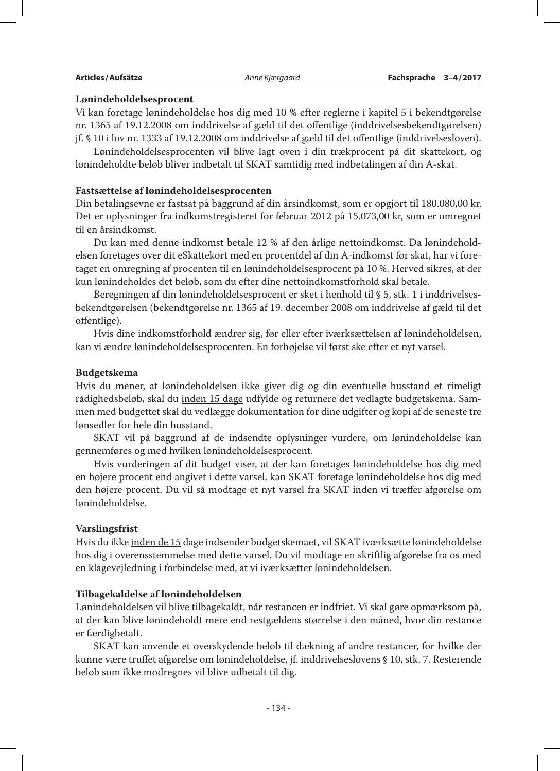#### **Lønindeholdelsesprocent**

Vi kan foretage lønindeholdelse hos dig med 10 % efter reglerne i kapitel 5 i bekendtgørelse nr. 1365 af 19.12.2008 om inddrivelse af gæld til det offentlige (inddrivelsesbekendtgørelsen) jf. § 10 i lov nr. 1333 af 19.12.2008 om inddrivelse af gæld til det offentlige (inddrivelsesloven).

Lønindeholdelsesprocenten vil blive lagt oven i din trækprocent på dit skattekort, og lønindeholdte beløb bliver indbetalt til SKAT samtidig med indbetalingen af din A-skat.

#### **Fastsættelse af lønindeholdelsesprocenten**

Din betalingsevne er fastsat på baggrund af din årsindkomst, som er opgjort til 180.080,00 kr. Det er oplysninger fra indkomstregisteret for februar 2012 på 15.073,00 kr, som er omregnet til en årsindkomst.

Du kan med denne indkomst betale 12 % af den årlige nettoindkomst. Da lønindeholdelsen foretages over dit eSkattekort med en procentdel af din A-indkomst før skat, har vi foretaget en omregning af procenten til en lønindeholdelsesprocent på 10 %. Herved sikres, at der kun lønindeholdes det beløb, som du efter dine nettoindkomstforhold skal betale.

Beregningen af din lønindeholdelsesprocent er sket i henhold til § 5, stk. 1 i inddrivelsesbekendtgørelsen (bekendtgørelse nr. 1365 af 19. december 2008 om inddrivelse af gæld til det offentlige).

Hvis dine indkomstforhold ændrer sig, før eller efter iværksættelsen af lønindeholdelsen, kan vi ændre lønindeholdelsesprocenten. En forhøjelse vil først ske efter et nyt varsel.

#### **Budgetskema**

Hvis du mener, at lønindeholdelsen ikke giver dig og din eventuelle husstand et rimeligt rådighedsbeløb, skal du inden 15 dage udfylde og returnere det vedlagte budgetskema. Sammen med budgettet skal du vedlægge dokumentation for dine udgifter og kopi af de seneste tre lønsedler for hele din husstand.

SKAT vil på baggrund af de indsendte oplysninger vurdere, om lønindeholdelse kan gennemføres og med hvilken lønindeholdelsesprocent.

Hvis vurderingen af dit budget viser, at der kan foretages lønindeholdelse hos dig med en højere procent end angivet i dette varsel, kan SKAT foretage lønindeholdelse hos dig med den højere procent. Du vil så modtage et nyt varsel fra SKAT inden vi træffer afgørelse om lønindeholdelse.

### **Varslingsfrist**

Hvis du ikke inden de 15 dage indsender budgetskemaet, vil SKAT iværksætte lønindeholdelse hos dig i overensstemmelse med dette varsel. Du vil modtage en skriftlig afgørelse fra os med en klagevejledning i forbindelse med, at vi iværksætter lønindeholdelsen.

#### **Tilbagekaldelse af lønindeholdelsen**

Lønindeholdelsen vil blive tilbagekaldt, når restancen er indfriet. Vi skal gøre opmærksom på, at der kan blive lønindeholdt mere end restgældens størrelse i den måned, hvor din restance er færdigbetalt.

SKAT kan anvende et overskydende beløb til dækning af andre restancer, for hvilke der kunne være truffet afgørelse om lønindeholdelse, jf. inddrivelseslovens § 10, stk. 7. Resterende beløb som ikke modregnes vil blive udbetalt til dig.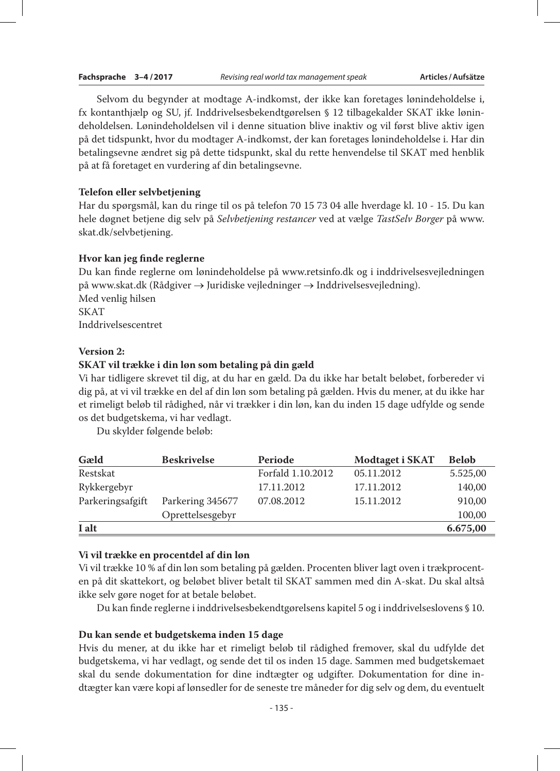Selvom du begynder at modtage A-indkomst, der ikke kan foretages lønindeholdelse i, fx kontanthjælp og SU, jf. Inddrivelsesbekendtgørelsen § 12 tilbagekalder SKAT ikke lønindeholdelsen. Lønindeholdelsen vil i denne situation blive inaktiv og vil først blive aktiv igen på det tidspunkt, hvor du modtager A-indkomst, der kan foretages lønindeholdelse i. Har din betalingsevne ændret sig på dette tidspunkt, skal du rette henvendelse til SKAT med henblik på at få foretaget en vurdering af din betalingsevne.

#### **Telefon eller selvbetjening**

Har du spørgsmål, kan du ringe til os på telefon 70 15 73 04 alle hverdage kl. 10 - 15. Du kan hele døgnet betjene dig selv på *Selvbetjening restancer* ved at vælge *TastSelv Borger* på www. skat.dk/selvbetjening.

#### **Hvor kan jeg finde reglerne**

Du kan finde reglerne om lønindeholdelse på www.retsinfo.dk og i inddrivelsesvejledningen på www.skat.dk (Rådgiver → Juridiske vejledninger → Inddrivelsesvejledning). Med venlig hilsen SKAT Inddrivelsescentret

#### **Version 2:**

#### **SKAT vil trække i din løn som betaling på din gæld**

Vi har tidligere skrevet til dig, at du har en gæld. Da du ikke har betalt beløbet, forbereder vi dig på, at vi vil trække en del af din løn som betaling på gælden. Hvis du mener, at du ikke har et rimeligt beløb til rådighed, når vi trækker i din løn, kan du inden 15 dage udfylde og sende os det budgetskema, vi har vedlagt.

Du skylder følgende beløb:

| Gæld             | <b>Beskrivelse</b> | Periode           | Modtaget i SKAT | <b>Beløb</b> |
|------------------|--------------------|-------------------|-----------------|--------------|
| Restskat         |                    | Forfald 1.10.2012 | 05.11.2012      | 5.525,00     |
| Rykkergebyr      |                    | 17.11.2012        | 17.11.2012      | 140,00       |
| Parkeringsafgift | Parkering 345677   | 07.08.2012        | 15.11.2012      | 910,00       |
|                  | Oprettelsesgebyr   |                   |                 | 100,00       |
| I alt            |                    |                   |                 | 6.675,00     |

#### **Vi vil trække en procentdel af din løn**

Vi vil trække 10 % af din løn som betaling på gælden. Procenten bliver lagt oven i trækprocenten på dit skattekort, og beløbet bliver betalt til SKAT sammen med din A-skat. Du skal altså ikke selv gøre noget for at betale beløbet.

Du kan finde reglerne i inddrivelsesbekendtgørelsens kapitel 5 og i inddrivelseslovens § 10.

### **Du kan sende et budgetskema inden 15 dage**

Hvis du mener, at du ikke har et rimeligt beløb til rådighed fremover, skal du udfylde det budgetskema, vi har vedlagt, og sende det til os inden 15 dage. Sammen med budgetskemaet skal du sende dokumentation for dine indtægter og udgifter. Dokumentation for dine indtægter kan være kopi af lønsedler for de seneste tre måneder for dig selv og dem, du eventuelt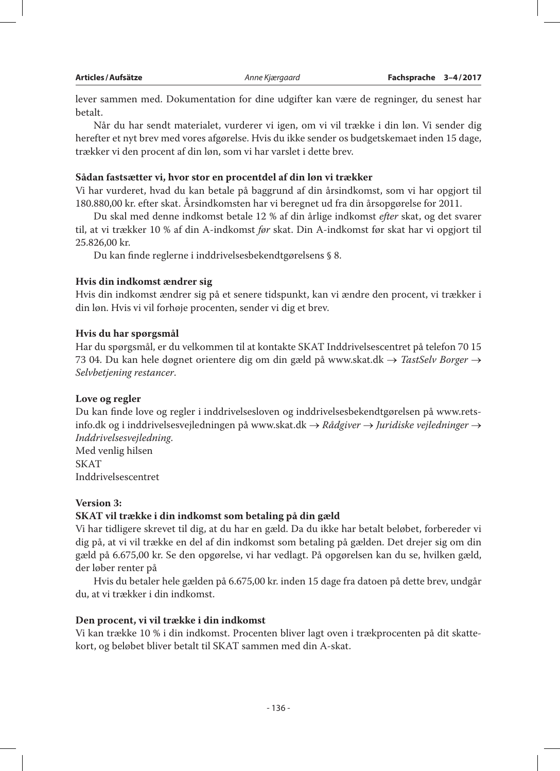lever sammen med. Dokumentation for dine udgifter kan være de regninger, du senest har betalt.

Når du har sendt materialet, vurderer vi igen, om vi vil trække i din løn. Vi sender dig herefter et nyt brev med vores afgørelse. Hvis du ikke sender os budgetskemaet inden 15 dage, trækker vi den procent af din løn, som vi har varslet i dette brev.

# **Sådan fastsætter vi, hvor stor en procentdel af din løn vi trækker**

Vi har vurderet, hvad du kan betale på baggrund af din årsindkomst, som vi har opgjort til 180.880,00 kr. efter skat. Årsindkomsten har vi beregnet ud fra din årsopgørelse for 2011.

Du skal med denne indkomst betale 12 % af din årlige indkomst *efter* skat, og det svarer til, at vi trækker 10 % af din A-indkomst *før* skat. Din A-indkomst før skat har vi opgjort til 25.826,00 kr.

Du kan finde reglerne i inddrivelsesbekendtgørelsens § 8.

# **Hvis din indkomst ændrer sig**

Hvis din indkomst ændrer sig på et senere tidspunkt, kan vi ændre den procent, vi trækker i din løn. Hvis vi vil forhøje procenten, sender vi dig et brev.

# **Hvis du har spørgsmål**

Har du spørgsmål, er du velkommen til at kontakte SKAT Inddrivelsescentret på telefon 70 15 73 04. Du kan hele døgnet orientere dig om din gæld på www.skat.dk → *TastSelv Borger* → *Selvbetjening restancer*.

# **Love og regler**

Du kan finde love og regler i inddrivelsesloven og inddrivelsesbekendtgørelsen på www.retsinfo.dk og i inddrivelsesvejledningen på www.skat.dk → *Rådgiver* → *Juridiske vejledninger* → *Inddrivelsesvejledning*. Med venlig hilsen

SKAT Inddrivelsescentret

# **Version 3:**

# **SKAT vil trække i din indkomst som betaling på din gæld**

Vi har tidligere skrevet til dig, at du har en gæld. Da du ikke har betalt beløbet, forbereder vi dig på, at vi vil trække en del af din indkomst som betaling på gælden. Det drejer sig om din gæld på 6.675,00 kr. Se den opgørelse, vi har vedlagt. På opgørelsen kan du se, hvilken gæld, der løber renter på

Hvis du betaler hele gælden på 6.675,00 kr. inden 15 dage fra datoen på dette brev, undgår du, at vi trækker i din indkomst.

# **Den procent, vi vil trække i din indkomst**

Vi kan trække 10 % i din indkomst. Procenten bliver lagt oven i trækprocenten på dit skattekort, og beløbet bliver betalt til SKAT sammen med din A-skat.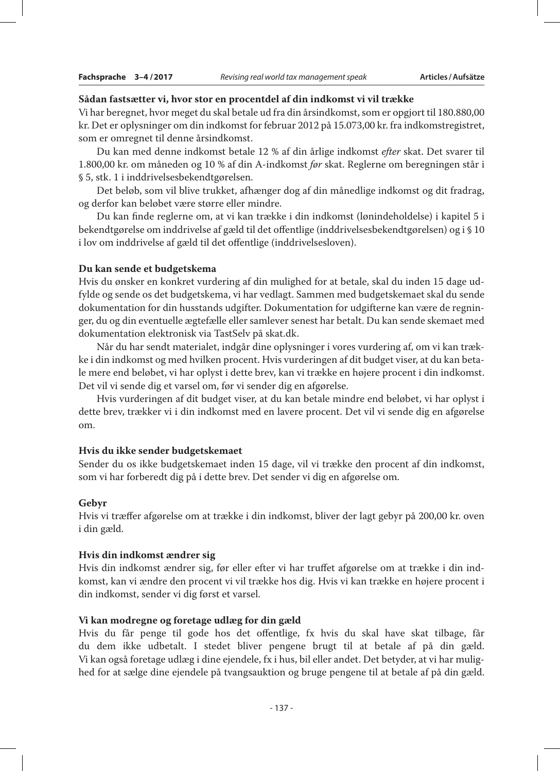#### **Sådan fastsætter vi, hvor stor en procentdel af din indkomst vi vil trække**

Vi har beregnet, hvor meget du skal betale ud fra din årsindkomst, som er opgjort til 180.880,00 kr. Det er oplysninger om din indkomst for februar 2012 på 15.073,00 kr. fra indkomstregistret, som er omregnet til denne årsindkomst.

Du kan med denne indkomst betale 12 % af din årlige indkomst *efter* skat. Det svarer til 1.800,00 kr. om måneden og 10 % af din A-indkomst *før* skat. Reglerne om beregningen står i § 5, stk. 1 i inddrivelsesbekendtgørelsen.

Det beløb, som vil blive trukket, afhænger dog af din månedlige indkomst og dit fradrag, og derfor kan beløbet være større eller mindre.

Du kan finde reglerne om, at vi kan trække i din indkomst (lønindeholdelse) i kapitel 5 i bekendtgørelse om inddrivelse af gæld til det offentlige (inddrivelsesbekendtgørelsen) og i § 10 i lov om inddrivelse af gæld til det offentlige (inddrivelsesloven).

#### **Du kan sende et budgetskema**

Hvis du ønsker en konkret vurdering af din mulighed for at betale, skal du inden 15 dage udfylde og sende os det budgetskema, vi har vedlagt. Sammen med budgetskemaet skal du sende dokumentation for din husstands udgifter. Dokumentation for udgifterne kan være de regninger, du og din eventuelle ægtefælle eller samlever senest har betalt. Du kan sende skemaet med dokumentation elektronisk via TastSelv på skat.dk.

Når du har sendt materialet, indgår dine oplysninger i vores vurdering af, om vi kan trække i din indkomst og med hvilken procent. Hvis vurderingen af dit budget viser, at du kan betale mere end beløbet, vi har oplyst i dette brev, kan vi trække en højere procent i din indkomst. Det vil vi sende dig et varsel om, før vi sender dig en afgørelse.

Hvis vurderingen af dit budget viser, at du kan betale mindre end beløbet, vi har oplyst i dette brev, trækker vi i din indkomst med en lavere procent. Det vil vi sende dig en afgørelse om.

### **Hvis du ikke sender budgetskemaet**

Sender du os ikke budgetskemaet inden 15 dage, vil vi trække den procent af din indkomst, som vi har forberedt dig på i dette brev. Det sender vi dig en afgørelse om.

### **Gebyr**

Hvis vi træffer afgørelse om at trække i din indkomst, bliver der lagt gebyr på 200,00 kr. oven i din gæld.

#### **Hvis din indkomst ændrer sig**

Hvis din indkomst ændrer sig, før eller efter vi har truffet afgørelse om at trække i din indkomst, kan vi ændre den procent vi vil trække hos dig. Hvis vi kan trække en højere procent i din indkomst, sender vi dig først et varsel.

### **Vi kan modregne og foretage udlæg for din gæld**

Hvis du får penge til gode hos det offentlige, fx hvis du skal have skat tilbage, får du dem ikke udbetalt. I stedet bliver pengene brugt til at betale af på din gæld. Vi kan også foretage udlæg i dine ejendele, fx i hus, bil eller andet. Det betyder, at vi har mulighed for at sælge dine ejendele på tvangsauktion og bruge pengene til at betale af på din gæld.